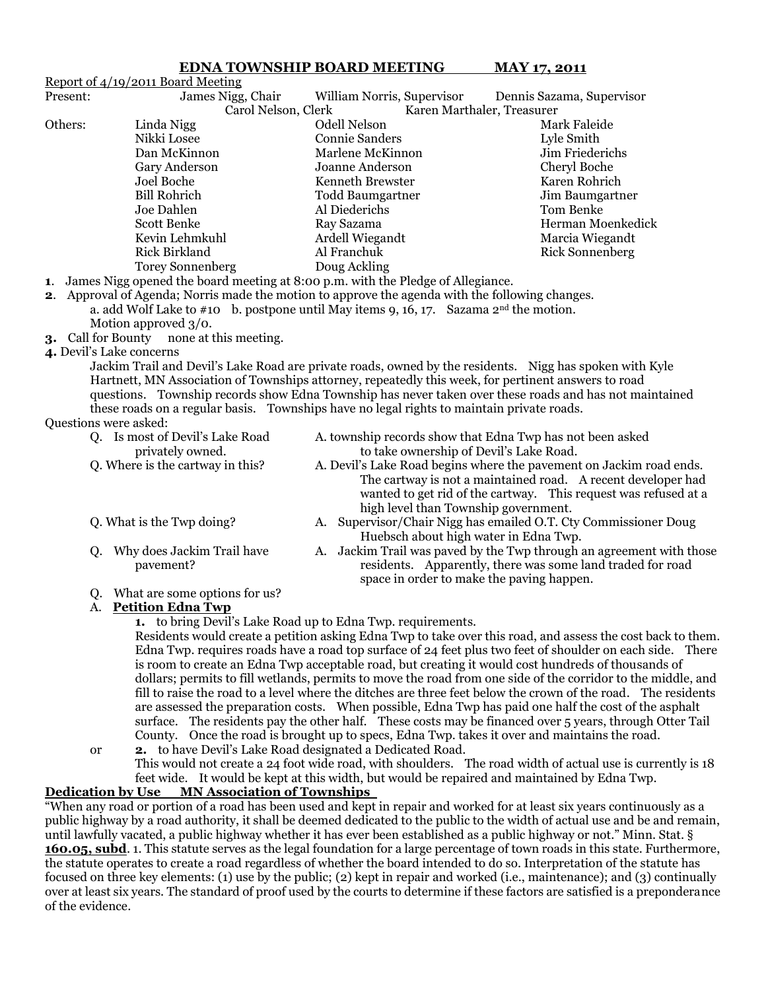## **EDNA TOWNSHIP BOARD MEETING MAY 17, 2011**

|                                                                                                         | Report of 4/19/2011 Board Meeting                 |                                                                                                        |                                                                 |  |  |  |
|---------------------------------------------------------------------------------------------------------|---------------------------------------------------|--------------------------------------------------------------------------------------------------------|-----------------------------------------------------------------|--|--|--|
| Present:                                                                                                | James Nigg, Chair                                 | William Norris, Supervisor                                                                             | Dennis Sazama, Supervisor                                       |  |  |  |
|                                                                                                         | Carol Nelson, Clerk<br>Karen Marthaler, Treasurer |                                                                                                        |                                                                 |  |  |  |
| Others:                                                                                                 | Linda Nigg                                        | <b>Odell Nelson</b>                                                                                    | Mark Faleide                                                    |  |  |  |
|                                                                                                         | Nikki Losee                                       | <b>Connie Sanders</b>                                                                                  | Lyle Smith                                                      |  |  |  |
|                                                                                                         | Dan McKinnon                                      | Marlene McKinnon                                                                                       | Jim Friederichs                                                 |  |  |  |
|                                                                                                         | Gary Anderson                                     | Joanne Anderson                                                                                        | Cheryl Boche                                                    |  |  |  |
|                                                                                                         | Joel Boche                                        | Kenneth Brewster                                                                                       | Karen Rohrich                                                   |  |  |  |
|                                                                                                         | <b>Bill Rohrich</b>                               | <b>Todd Baumgartner</b>                                                                                | Jim Baumgartner                                                 |  |  |  |
|                                                                                                         | Joe Dahlen                                        | Al Diederichs                                                                                          | Tom Benke                                                       |  |  |  |
|                                                                                                         | Scott Benke                                       | Ray Sazama                                                                                             | Herman Moenkedick                                               |  |  |  |
|                                                                                                         | Kevin Lehmkuhl                                    | Ardell Wiegandt                                                                                        | Marcia Wiegandt                                                 |  |  |  |
|                                                                                                         | <b>Rick Birkland</b>                              | Al Franchuk                                                                                            | <b>Rick Sonnenberg</b>                                          |  |  |  |
|                                                                                                         | <b>Torey Sonnenberg</b>                           | Doug Ackling                                                                                           |                                                                 |  |  |  |
|                                                                                                         |                                                   | 1. James Nigg opened the board meeting at 8:00 p.m. with the Pledge of Allegiance.                     |                                                                 |  |  |  |
|                                                                                                         |                                                   | <b>2.</b> Approval of Agenda; Norris made the motion to approve the agenda with the following changes. |                                                                 |  |  |  |
| a. add Wolf Lake to $\#$ 10 b. postpone until May items 9, 16, 17. Sazama 2 <sup>nd</sup> the motion.   |                                                   |                                                                                                        |                                                                 |  |  |  |
| Motion approved 3/0.                                                                                    |                                                   |                                                                                                        |                                                                 |  |  |  |
| <b>3.</b> Call for Bounty none at this meeting.                                                         |                                                   |                                                                                                        |                                                                 |  |  |  |
| 4. Devil's Lake concerns                                                                                |                                                   |                                                                                                        |                                                                 |  |  |  |
| Jackim Trail and Devil's Lake Road are private roads, owned by the residents. Nigg has spoken with Kyle |                                                   |                                                                                                        |                                                                 |  |  |  |
| Hartnett, MN Association of Townships attorney, repeatedly this week, for pertinent answers to road     |                                                   |                                                                                                        |                                                                 |  |  |  |
| questions. Township records show Edna Township has never taken over these roads and has not maintained  |                                                   |                                                                                                        |                                                                 |  |  |  |
| these roads on a regular basis. Townships have no legal rights to maintain private roads.               |                                                   |                                                                                                        |                                                                 |  |  |  |
| Questions were asked:                                                                                   |                                                   |                                                                                                        |                                                                 |  |  |  |
|                                                                                                         | Q. Is most of Devil's Lake Road                   | A. township records show that Edna Twp has not been asked                                              |                                                                 |  |  |  |
|                                                                                                         | privately owned.                                  | to take ownership of Devil's Lake Road.                                                                |                                                                 |  |  |  |
|                                                                                                         | Q. Where is the cartway in this?                  | A. Devil's Lake Road begins where the pavement on Jackim road ends.                                    |                                                                 |  |  |  |
|                                                                                                         |                                                   |                                                                                                        | The cartway is not a maintained road. A recent developer had    |  |  |  |
|                                                                                                         |                                                   |                                                                                                        | wanted to get rid of the cartway. This request was refused at a |  |  |  |
|                                                                                                         |                                                   |                                                                                                        |                                                                 |  |  |  |

- 
- 
- high level than Township government. Q. What is the Twp doing? A. Supervisor/Chair Nigg has emailed O.T. Cty Commissioner Doug Huebsch about high water in Edna Twp.
- Q. Why does Jackim Trail have  $\overline{A}$ . Jackim Trail was paved by the Twp through an agreement with those pavement? residents. Apparently, there was some land traded for road space in order to make the paving happen.
- Q. What are some options for us?

### A. **Petition Edna Twp**

**1.** to bring Devil"s Lake Road up to Edna Twp. requirements.

Residents would create a petition asking Edna Twp to take over this road, and assess the cost back to them. Edna Twp. requires roads have a road top surface of 24 feet plus two feet of shoulder on each side. There is room to create an Edna Twp acceptable road, but creating it would cost hundreds of thousands of dollars; permits to fill wetlands, permits to move the road from one side of the corridor to the middle, and fill to raise the road to a level where the ditches are three feet below the crown of the road. The residents are assessed the preparation costs. When possible, Edna Twp has paid one half the cost of the asphalt surface. The residents pay the other half. These costs may be financed over 5 years, through Otter Tail County. Once the road is brought up to specs, Edna Twp. takes it over and maintains the road.

or **2.** to have Devil"s Lake Road designated a Dedicated Road. This would not create a 24 foot wide road, with shoulders. The road width of actual use is currently is 18 feet wide. It would be kept at this width, but would be repaired and maintained by Edna Twp.

# **Dedication by Use MN Association of Townships**

"When any road or portion of a road has been used and kept in repair and worked for at least six years continuously as a public highway by a road authority, it shall be deemed dedicated to the public to the width of actual use and be and remain, until lawfully vacated, a public highway whether it has ever been established as a public highway or not." Minn. Stat. § **160.05, subd**. 1. This statute serves as the legal foundation for a large percentage of town roads in this state. Furthermore, the statute operates to create a road regardless of whether the board intended to do so. Interpretation of the statute has focused on three key elements: (1) use by the public; (2) kept in repair and worked (i.e., maintenance); and (3) continually over at least six years. The standard of proof used by the courts to determine if these factors are satisfied is a preponderance of the evidence.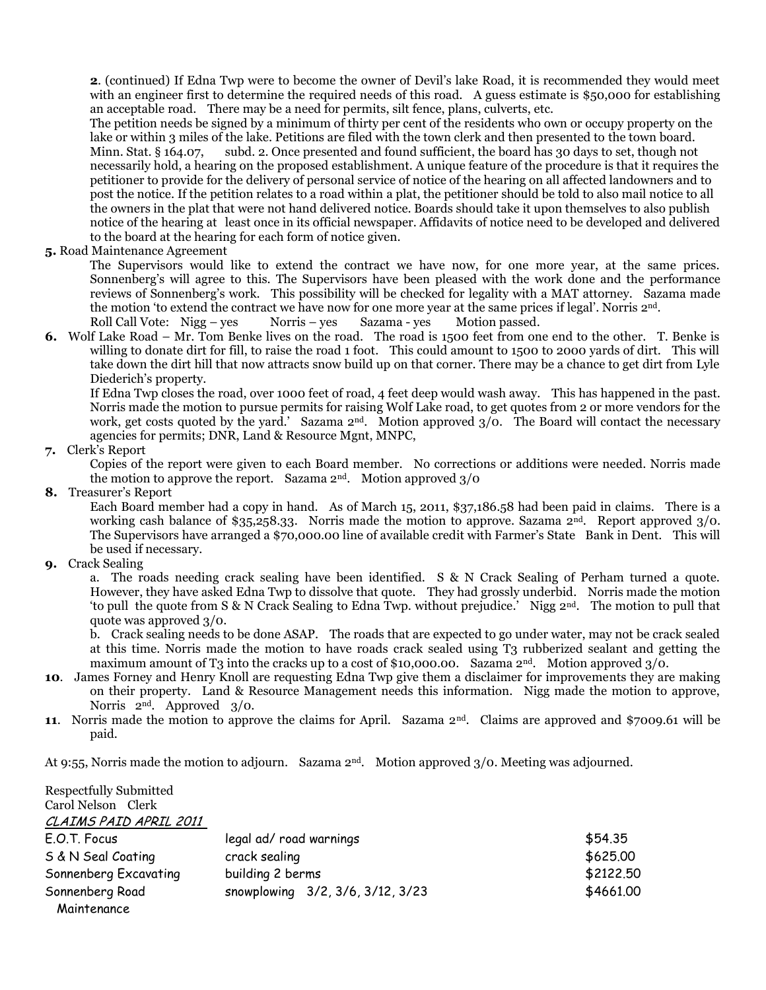**2**. (continued) If Edna Twp were to become the owner of Devil"s lake Road, it is recommended they would meet with an engineer first to determine the required needs of this road. A guess estimate is \$50,000 for establishing an acceptable road. There may be a need for permits, silt fence, plans, culverts, etc.

The petition needs be signed by a minimum of thirty per cent of the residents who own or occupy property on the lake or within 3 miles of the lake. Petitions are filed with the town clerk and then presented to the town board. Minn. Stat. § 164.07, subd. 2. Once presented and found sufficient, the board has 30 days to set, though not necessarily hold, a hearing on the proposed establishment. A unique feature of the procedure is that it requires the petitioner to provide for the delivery of personal service of notice of the hearing on all affected landowners and to post the notice. If the petition relates to a road within a plat, the petitioner should be told to also mail notice to all the owners in the plat that were not hand delivered notice. Boards should take it upon themselves to also publish notice of the hearing at least once in its official newspaper. Affidavits of notice need to be developed and delivered to the board at the hearing for each form of notice given.

### **5.** Road Maintenance Agreement

The Supervisors would like to extend the contract we have now, for one more year, at the same prices. Sonnenberg's will agree to this. The Supervisors have been pleased with the work done and the performance reviews of Sonnenberg's work. This possibility will be checked for legality with a MAT attorney. Sazama made the motion 'to extend the contract we have now for one more year at the same prices if legal'. Norris  $2<sup>nd</sup>$ . Roll Call Vote: Nigg – yes Norris – yes Sazama - yes Motion passed.

**6.** Wolf Lake Road – Mr. Tom Benke lives on the road. The road is 1500 feet from one end to the other. T. Benke is willing to donate dirt for fill, to raise the road 1 foot. This could amount to 1500 to 2000 yards of dirt. This will take down the dirt hill that now attracts snow build up on that corner. There may be a chance to get dirt from Lyle Diederich"s property.

If Edna Twp closes the road, over 1000 feet of road, 4 feet deep would wash away. This has happened in the past. Norris made the motion to pursue permits for raising Wolf Lake road, to get quotes from 2 or more vendors for the work, get costs quoted by the yard.' Sazama 2<sup>nd</sup>. Motion approved 3/0. The Board will contact the necessary agencies for permits; DNR, Land & Resource Mgnt, MNPC,

# **7.** Clerk"s Report

Copies of the report were given to each Board member. No corrections or additions were needed. Norris made the motion to approve the report. Sazama  $2<sup>nd</sup>$ . Motion approved  $3/0$ 

### **8.** Treasurer"s Report

Each Board member had a copy in hand. As of March 15, 2011, \$37,186.58 had been paid in claims. There is a working cash balance of \$35,258.33. Norris made the motion to approve. Sazama 2nd. Report approved 3/0. The Supervisors have arranged a \$70,000.00 line of available credit with Farmer"s State Bank in Dent. This will be used if necessary.

### **9.** Crack Sealing

a. The roads needing crack sealing have been identified. S & N Crack Sealing of Perham turned a quote. However, they have asked Edna Twp to dissolve that quote. They had grossly underbid. Norris made the motion "to pull the quote from S & N Crack Sealing to Edna Twp. without prejudice." Nigg 2nd. The motion to pull that quote was approved 3/0.

b. Crack sealing needs to be done ASAP. The roads that are expected to go under water, may not be crack sealed at this time. Norris made the motion to have roads crack sealed using T3 rubberized sealant and getting the maximum amount of T3 into the cracks up to a cost of \$10,000.00. Sazama  $2<sup>nd</sup>$ . Motion approved  $3/0$ .

- **10**. James Forney and Henry Knoll are requesting Edna Twp give them a disclaimer for improvements they are making on their property. Land & Resource Management needs this information. Nigg made the motion to approve, Norris 2nd. Approved 3/0.
- **11.** Norris made the motion to approve the claims for April. Sazama 2<sup>nd</sup>. Claims are approved and \$7009.61 will be paid.

At 9:55, Norris made the motion to adjourn. Sazama 2nd. Motion approved 3/0. Meeting was adjourned.

| <b>Respectfully Submitted</b> |                                  |           |
|-------------------------------|----------------------------------|-----------|
| Carol Nelson Clerk            |                                  |           |
| CLAIMS PAID APRIL 2011        |                                  |           |
| E.O.T. Focus                  | legal ad/ road warnings          | \$54.35   |
| S & N Seal Coating            | crack sealing                    | \$625.00  |
| Sonnenberg Excavating         | building 2 berms                 | \$2122.50 |
| Sonnenberg Road               | snowplowing 3/2, 3/6, 3/12, 3/23 | \$4661.00 |
| Maintenance                   |                                  |           |